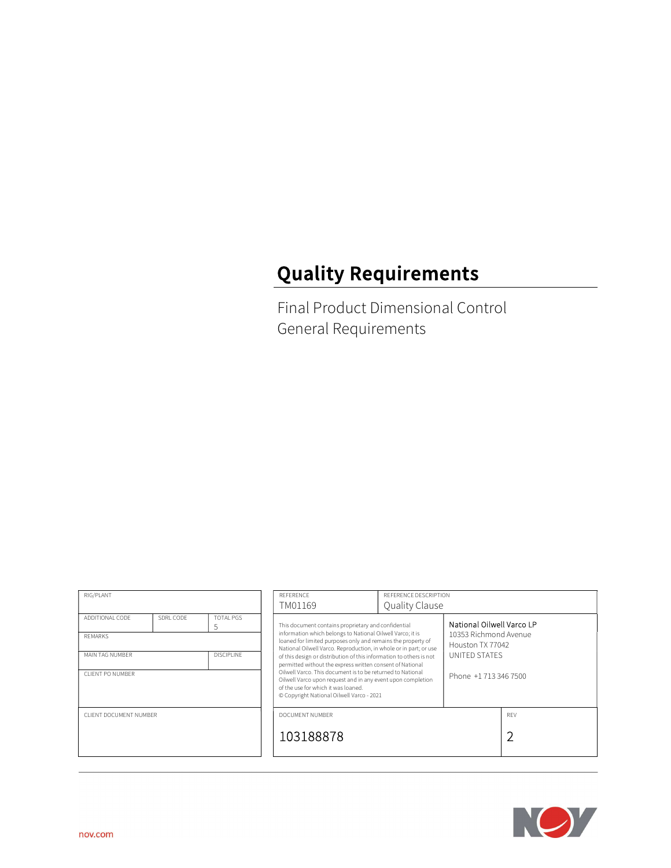# Quality Requirements

Final Product Dimensional Control General Requirements

| RIG/PLANT                            |           |                       | <b>REFERENCE</b>                                                                                                                                                                                                                                                                                                                                  | REFERENCE DESCRIPTION                                                                                                                                                          |                    |            |                           |  |
|--------------------------------------|-----------|-----------------------|---------------------------------------------------------------------------------------------------------------------------------------------------------------------------------------------------------------------------------------------------------------------------------------------------------------------------------------------------|--------------------------------------------------------------------------------------------------------------------------------------------------------------------------------|--------------------|------------|---------------------------|--|
|                                      |           |                       | TM01169                                                                                                                                                                                                                                                                                                                                           | Quality Clause                                                                                                                                                                 |                    |            |                           |  |
| ADDITIONAL CODE                      | SDRL CODE | <b>TOTAL PGS</b><br>5 |                                                                                                                                                                                                                                                                                                                                                   | This document contains proprietary and confidential<br>information which belongs to National Oilwell Varco; it is                                                              |                    |            | National Oilwell Varco LP |  |
| <b>REMARKS</b>                       |           |                       |                                                                                                                                                                                                                                                                                                                                                   | 10353 Richmond Avenue<br>loaned for limited purposes only and remains the property of<br>Houston TX 77042<br>National Oilwell Varco. Reproduction, in whole or in part; or use |                    |            |                           |  |
| MAIN TAG NUMBER<br><b>DISCIPLINE</b> |           |                       | of this design or distribution of this information to others is not<br>permitted without the express written consent of National<br>Oilwell Varco. This document is to be returned to National<br>Oilwell Varco upon request and in any event upon completion<br>of the use for which it was loaned.<br>© Copyright National Oilwell Varco - 2021 |                                                                                                                                                                                | UNITED STATES      |            |                           |  |
| CLIENT PO NUMBER                     |           |                       |                                                                                                                                                                                                                                                                                                                                                   |                                                                                                                                                                                | Phone +17133467500 |            |                           |  |
| CLIENT DOCUMENT NUMBER               |           |                       | DOCUMENT NUMBER                                                                                                                                                                                                                                                                                                                                   |                                                                                                                                                                                |                    | <b>RFV</b> |                           |  |
|                                      |           |                       | 103188878                                                                                                                                                                                                                                                                                                                                         |                                                                                                                                                                                |                    |            |                           |  |
|                                      |           |                       |                                                                                                                                                                                                                                                                                                                                                   |                                                                                                                                                                                |                    |            |                           |  |

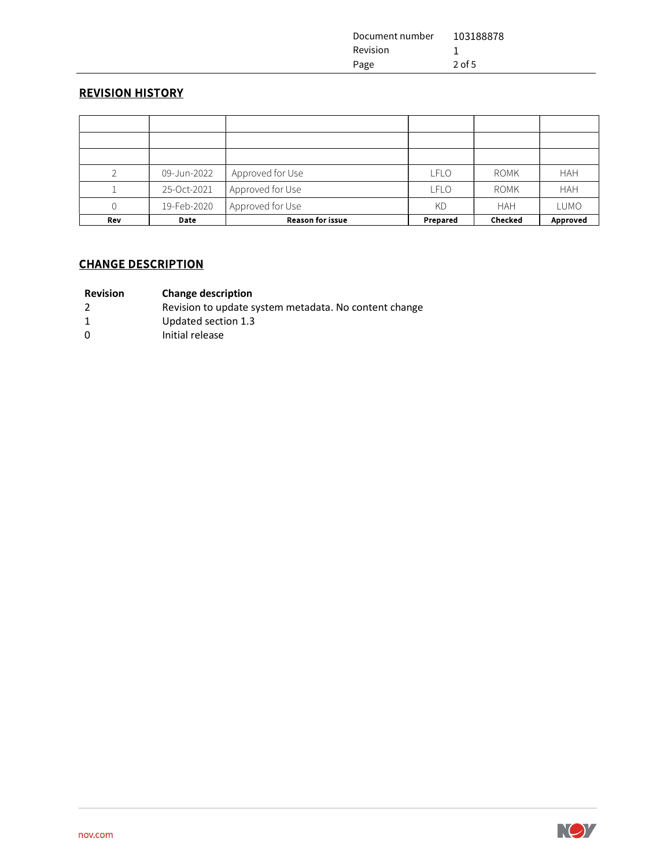| Document number | 103188878 |
|-----------------|-----------|
| Revision        |           |
| Page            | $2$ of 5  |

## REVISION HISTORY

| Rev            | <b>Date</b> | <b>Reason for issue</b> | Prepared    | <b>Checked</b> | Approved   |
|----------------|-------------|-------------------------|-------------|----------------|------------|
| 0              | 19-Feb-2020 | Approved for Use        | <b>KD</b>   | <b>HAH</b>     | LUMO       |
|                | 25-Oct-2021 | Approved for Use        | <b>LFLO</b> | <b>ROMK</b>    | <b>HAH</b> |
| $\mathfrak{D}$ | 09-Jun-2022 | Approved for Use        | <b>LFLO</b> | <b>ROMK</b>    | <b>HAH</b> |
|                |             |                         |             |                |            |
|                |             |                         |             |                |            |

#### Revision Change description

- 2 Revision to update system metadata. No content change
- 1 Updated section 1.3
- 0 Initial release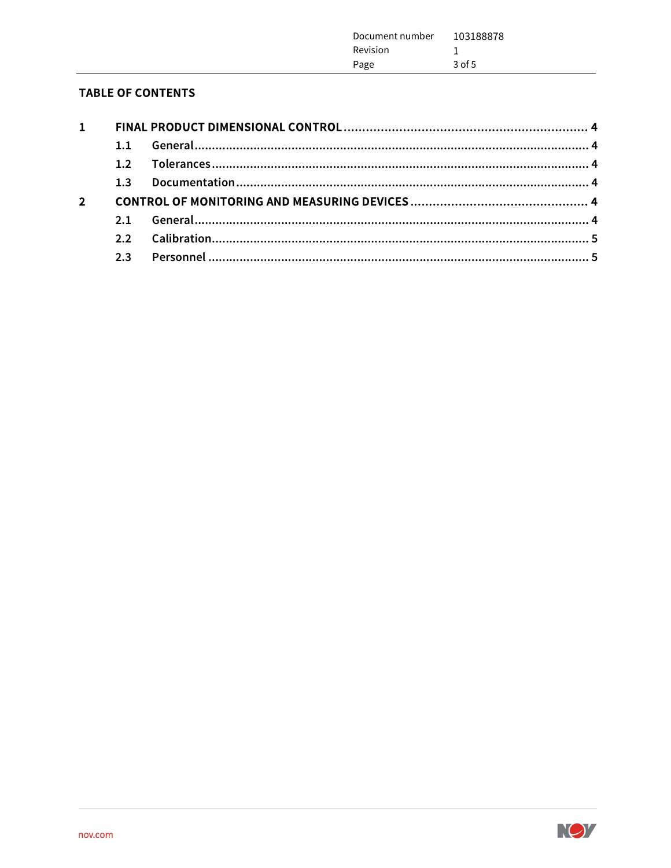| Document number<br>Revision<br>Page | 103188878<br>$3$ of 5 |
|-------------------------------------|-----------------------|
|                                     |                       |

# **TABLE OF CONTENTS**

L,

| $\mathbf{1}$   |                |  |
|----------------|----------------|--|
|                | 1.1            |  |
|                | 1.2            |  |
|                | 1 <sup>3</sup> |  |
| $\overline{2}$ |                |  |
|                | 2.1            |  |
|                |                |  |
|                | 2.3            |  |
|                |                |  |

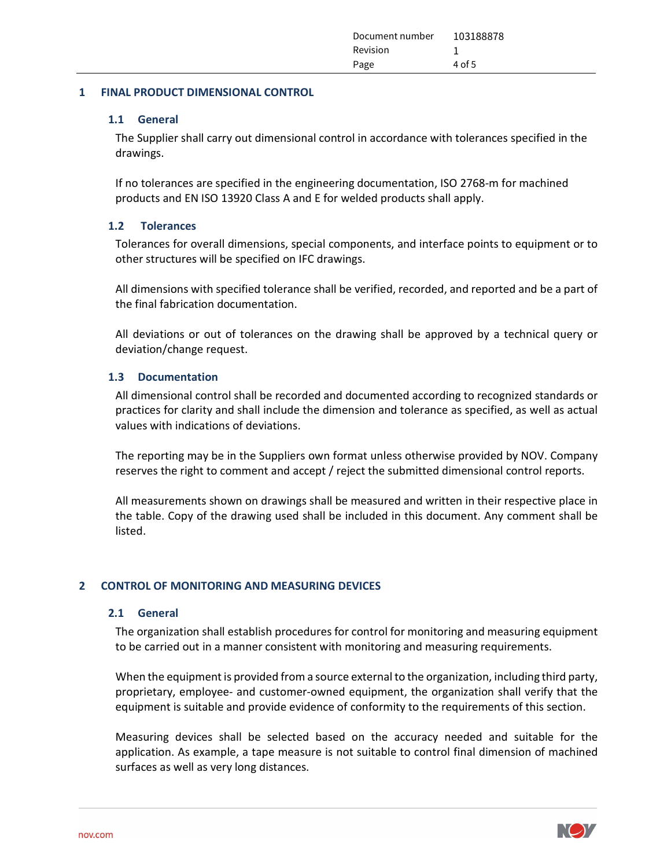| Document number | 103188878 |
|-----------------|-----------|
| Revision        | -         |
| Page            | $4$ of 5  |
|                 |           |

#### 1 FINAL PRODUCT DIMENSIONAL CONTROL

#### 1.1 General

The Supplier shall carry out dimensional control in accordance with tolerances specified in the drawings.

If no tolerances are specified in the engineering documentation, ISO 2768-m for machined products and EN ISO 13920 Class A and E for welded products shall apply.

#### 1.2 Tolerances

Tolerances for overall dimensions, special components, and interface points to equipment or to other structures will be specified on IFC drawings.

All dimensions with specified tolerance shall be verified, recorded, and reported and be a part of the final fabrication documentation.

All deviations or out of tolerances on the drawing shall be approved by a technical query or deviation/change request.

#### 1.3 Documentation

All dimensional control shall be recorded and documented according to recognized standards or practices for clarity and shall include the dimension and tolerance as specified, as well as actual values with indications of deviations.

The reporting may be in the Suppliers own format unless otherwise provided by NOV. Company reserves the right to comment and accept / reject the submitted dimensional control reports.

All measurements shown on drawings shall be measured and written in their respective place in the table. Copy of the drawing used shall be included in this document. Any comment shall be listed.

#### 2 CONTROL OF MONITORING AND MEASURING DEVICES

#### 2.1 General

The organization shall establish procedures for control for monitoring and measuring equipment to be carried out in a manner consistent with monitoring and measuring requirements.

When the equipment is provided from a source external to the organization, including third party, proprietary, employee- and customer-owned equipment, the organization shall verify that the equipment is suitable and provide evidence of conformity to the requirements of this section.

Measuring devices shall be selected based on the accuracy needed and suitable for the application. As example, a tape measure is not suitable to control final dimension of machined surfaces as well as very long distances.